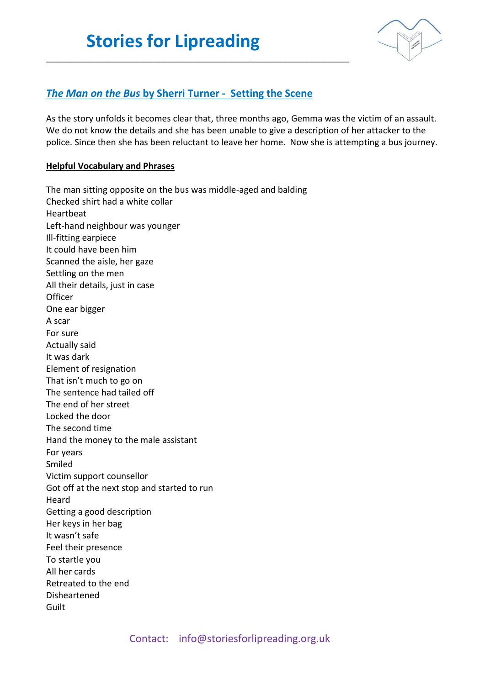

## *The Man on the Bus* **by Sherri Turner - Setting the Scene**

\_\_\_\_\_\_\_\_\_\_\_\_\_\_\_\_\_\_\_\_\_\_\_\_\_\_\_\_\_\_\_\_\_\_\_\_\_\_\_\_\_\_\_\_\_\_\_\_\_\_\_\_\_\_\_\_\_\_\_\_\_\_\_\_\_\_\_\_

As the story unfolds it becomes clear that, three months ago, Gemma was the victim of an assault. We do not know the details and she has been unable to give a description of her attacker to the police. Since then she has been reluctant to leave her home. Now she is attempting a bus journey.

## **Helpful Vocabulary and Phrases**

The man sitting opposite on the bus was middle-aged and balding Checked shirt had a white collar Heartbeat Left-hand neighbour was younger Ill-fitting earpiece It could have been him Scanned the aisle, her gaze Settling on the men All their details, just in case **Officer** One ear bigger A scar For sure Actually said It was dark Element of resignation That isn't much to go on The sentence had tailed off The end of her street Locked the door The second time Hand the money to the male assistant For years Smiled Victim support counsellor Got off at the next stop and started to run Heard Getting a good description Her keys in her bag It wasn't safe Feel their presence To startle you All her cards Retreated to the end Disheartened Guilt